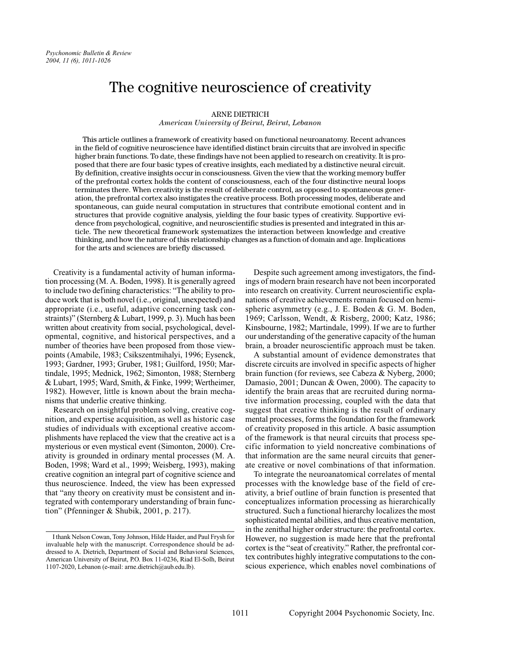# The cognitive neuroscience of creativity

#### **ARNE DIETRICH** American University of Beirut, Beirut, Lebanon

This article outlines a framework of creativity based on functional neuroanatomy. Recent advances in the field of cognitive neuroscience have identified distinct brain circuits that are involved in specific higher brain functions. To date, these findings have not been applied to research on creativity. It is proposed that there are four basic types of creative insights, each mediated by a distinctive neural circuit. By definition, creative insights occur in consciousness. Given the view that the working memory buffer of the prefrontal cortex holds the content of consciousness, each of the four distinctive neural loops terminates there. When creativity is the result of deliberate control, as opposed to spontaneous generation, the prefrontal cortex also instigates the creative process. Both processing modes, deliberate and spontaneous, can guide neural computation in structures that contribute emotional content and in structures that provide cognitive analysis, yielding the four basic types of creativity. Supportive evidence from psychological, cognitive, and neuroscientific studies is presented and integrated in this article. The new theoretical framework systematizes the interaction between knowledge and creative thinking, and how the nature of this relationship changes as a function of domain and age. Implications for the arts and sciences are briefly discussed.

Creativity is a fundamental activity of human information processing (M. A. Boden, 1998). It is generally agreed to include two defining characteristics: "The ability to produce work that is both novel (i.e., original, unexpected) and appropriate (*i.e.*, useful, adaptive concerning task constraints)" (Sternberg & Lubart, 1999, p. 3). Much has been written about creativity from social, psychological, developmental, cognitive, and historical perspectives, and a number of theories have been proposed from those viewpoints (Amabile, 1983; Csikszentmihalyi, 1996; Eysenck, 1993; Gardner, 1993; Gruber, 1981; Guilford, 1950; Martindale, 1995; Mednick, 1962; Simonton, 1988; Sternberg & Lubart, 1995; Ward, Smith, & Finke, 1999; Wertheimer, 1982). However, little is known about the brain mechanisms that underlie creative thinking.

Research on insightful problem solving, creative cognition, and expertise acquisition, as well as historic case studies of individuals with exceptional creative accomplishments have replaced the view that the creative act is a mysterious or even mystical event (Simonton, 2000). Creativity is grounded in ordinary mental processes (M. A. Boden, 1998; Ward et al., 1999; Weisberg, 1993), making creative cognition an integral part of cognitive science and thus neuroscience. Indeed, the view has been expressed that "any theory on creativity must be consistent and integrated with contemporary understanding of brain function" (Pfenninger & Shubik, 2001, p. 217).

Despite such agreement among investigators, the findings of modern brain research have not been incorporated into research on creativity. Current neuroscientific explanations of creative achievements remain focused on hemispheric asymmetry (e.g., J. E. Boden & G. M. Boden, 1969; Carlsson, Wendt, & Risberg, 2000; Katz, 1986; Kinsbourne, 1982; Martindale, 1999). If we are to further our understanding of the generative capacity of the human brain, a broader neuroscientific approach must be taken.

A substantial amount of evidence demonstrates that discrete circuits are involved in specific aspects of higher brain function (for reviews, see Cabeza & Nyberg, 2000; Damasio, 2001; Duncan & Owen, 2000). The capacity to identify the brain areas that are recruited during normative information processing, coupled with the data that suggest that creative thinking is the result of ordinary mental processes, forms the foundation for the framework of creativity proposed in this article. A basic assumption of the framework is that neural circuits that process specific information to yield noncreative combinations of that information are the same neural circuits that generate creative or novel combinations of that information.

To integrate the neuroanatomical correlates of mental processes with the knowledge base of the field of creativity, a brief outline of brain function is presented that conceptualizes information processing as hierarchically structured. Such a functional hierarchy localizes the most sophisticated mental abilities, and thus creative mentation, in the zenithal higher order structure: the prefrontal cortex. However, no suggestion is made here that the prefrontal cortex is the "seat of creativity." Rather, the prefrontal cortex contributes highly integrative computations to the conscious experience, which enables novel combinations of

I thank Nelson Cowan, Tony Johnson, Hilde Haider, and Paul Frysh for invaluable help with the manuscript. Correspondence should be addressed to A. Dietrich, Department of Social and Behavioral Sciences, American University of Beirut, P.O. Box 11-0236, Riad El-Solh, Beirut 1107-2020, Lebanon (e-mail: arne.dietrich@aub.edu.lb).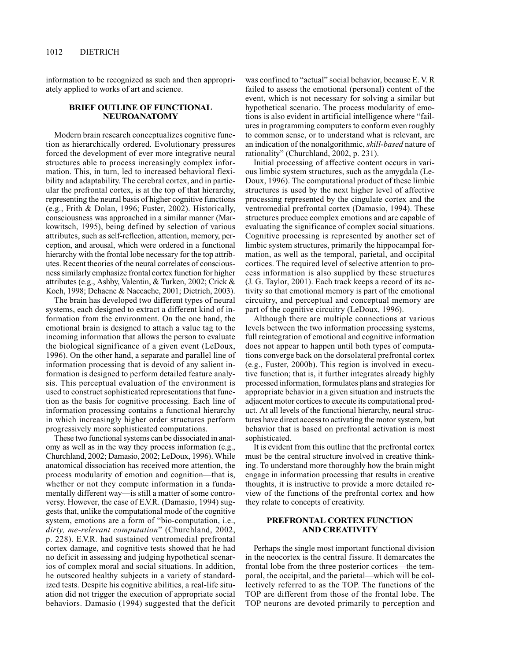information to be recognized as such and then appropriately applied to works of art and science.

## **BRIEF OUTLINE OF FUNCTIONAL NEUROANATOMY**

Modern brain research conceptualizes cognitive function as hierarchically ordered. Evolutionary pressures forced the development of ever more integrative neural structures able to process increasingly complex information. This, in turn, led to increased behavioral flexibility and adaptability. The cerebral cortex, and in particular the prefrontal cortex, is at the top of that hierarchy, representing the neural basis of higher cognitive functions (e.g., Frith & Dolan, 1996; Fuster, 2002). Historically, consciousness was approached in a similar manner (Markowitsch, 1995), being defined by selection of various attributes, such as self-reflection, attention, memory, perception, and arousal, which were ordered in a functional hierarchy with the frontal lobe necessary for the top attributes. Recent theories of the neural correlates of consciousness similarly emphasize frontal cortex function for higher attributes (e.g., Ashby, Valentin, & Turken, 2002; Crick & Koch, 1998; Dehaene & Naccache, 2001; Dietrich, 2003).

The brain has developed two different types of neural systems, each designed to extract a different kind of information from the environment. On the one hand, the emotional brain is designed to attach a value tag to the incoming information that allows the person to evaluate the biological significance of a given event (LeDoux, 1996). On the other hand, a separate and parallel line of information processing that is devoid of any salient information is designed to perform detailed feature analysis. This perceptual evaluation of the environment is used to construct sophisticated representations that function as the basis for cognitive processing. Each line of information processing contains a functional hierarchy in which increasingly higher order structures perform progressively more sophisticated computations.

These two functional systems can be dissociated in anatomy as well as in the way they process information (e.g., Churchland, 2002; Damasio, 2002; LeDoux, 1996). While anatomical dissociation has received more attention, the process modularity of emotion and cognition—that is, whether or not they compute information in a fundamentally different way—is still a matter of some controversy. However, the case of E.V.R. (Damasio, 1994) suggests that, unlike the computational mode of the cognitive system, emotions are a form of "bio-computation, i.e., dirty, me-relevant computation" (Churchland, 2002, p. 228). E.V.R. had sustained ventromedial prefrontal cortex damage, and cognitive tests showed that he had no deficit in assessing and judging hypothetical scenarios of complex moral and social situations. In addition, he outscored healthy subjects in a variety of standardized tests. Despite his cognitive abilities, a real-life situation did not trigger the execution of appropriate social behaviors. Damasio (1994) suggested that the deficit

was confined to "actual" social behavior, because E.V.R failed to assess the emotional (personal) content of the event, which is not necessary for solving a similar but hypothetical scenario. The process modularity of emotions is also evident in artificial intelligence where "failures in programming computers to conform even roughly to common sense, or to understand what is relevant, are an indication of the nonalgorithmic, skill-based nature of rationality" (Churchland, 2002, p. 231).

Initial processing of affective content occurs in various limbic system structures, such as the amygdala (Le-Doux, 1996). The computational product of these limbic structures is used by the next higher level of affective processing represented by the cingulate cortex and the ventromedial prefrontal cortex (Damasio, 1994). These structures produce complex emotions and are capable of evaluating the significance of complex social situations. Cognitive processing is represented by another set of limbic system structures, primarily the hippocampal formation, as well as the temporal, parietal, and occipital cortices. The required level of selective attention to process information is also supplied by these structures (J. G. Taylor, 2001). Each track keeps a record of its activity so that emotional memory is part of the emotional circuitry, and perceptual and conceptual memory are part of the cognitive circuitry (LeDoux, 1996).

Although there are multiple connections at various levels between the two information processing systems, full reintegration of emotional and cognitive information does not appear to happen until both types of computations converge back on the dorsolateral prefrontal cortex (e.g., Fuster, 2000b). This region is involved in executive function; that is, it further integrates already highly processed information, formulates plans and strategies for appropriate behavior in a given situation and instructs the adjacent motor cortices to execute its computational product. At all levels of the functional hierarchy, neural structures have direct access to activating the motor system, but behavior that is based on prefrontal activation is most sophisticated.

It is evident from this outline that the prefrontal cortex must be the central structure involved in creative thinking. To understand more thoroughly how the brain might engage in information processing that results in creative thoughts, it is instructive to provide a more detailed review of the functions of the prefrontal cortex and how they relate to concepts of creativity.

## PREFRONTAL CORTEX FUNCTION **AND CREATIVITY**

Perhaps the single most important functional division in the neocortex is the central fissure. It demarcates the frontal lobe from the three posterior cortices—the temporal, the occipital, and the parietal—which will be collectively referred to as the TOP. The functions of the TOP are different from those of the frontal lobe. The TOP neurons are devoted primarily to perception and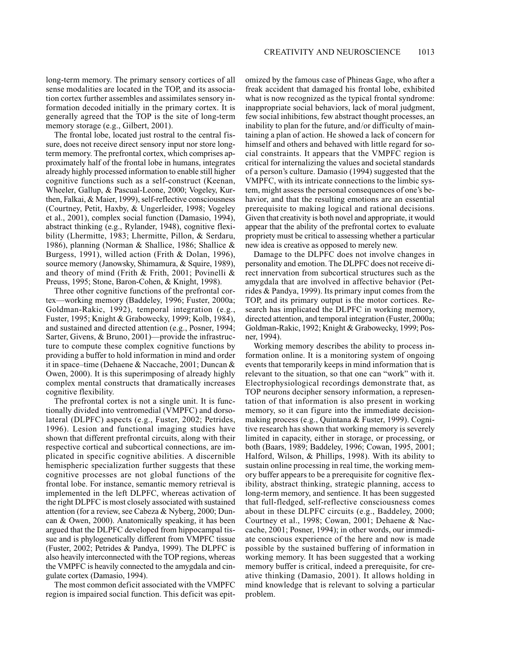long-term memory. The primary sensory cortices of all sense modalities are located in the TOP, and its association cortex further assembles and assimilates sensory information decoded initially in the primary cortex. It is generally agreed that the TOP is the site of long-term memory storage (e.g., Gilbert, 2001).

The frontal lobe, located just rostral to the central fissure, does not receive direct sensory input nor store longterm memory. The prefrontal cortex, which comprises approximately half of the frontal lobe in humans, integrates already highly processed information to enable still higher cognitive functions such as a self-construct (Keenan, Wheeler, Gallup, & Pascual-Leone, 2000; Vogeley, Kurthen, Falkai, & Maier, 1999), self-reflective consciousness (Courtney, Petit, Haxby, & Ungerleider, 1998; Vogeley et al., 2001), complex social function (Damasio, 1994), abstract thinking (e.g., Rylander, 1948), cognitive flexibility (Lhermitte, 1983; Lhermitte, Pillon, & Serdaru, 1986), planning (Norman & Shallice, 1986; Shallice & Burgess, 1991), willed action (Frith & Dolan, 1996), source memory (Janowsky, Shimamura, & Squire, 1989), and theory of mind (Frith & Frith, 2001; Povinelli & Preuss, 1995; Stone, Baron-Cohen, & Knight, 1998).

Three other cognitive functions of the prefrontal cortex—working memory (Baddeley, 1996; Fuster, 2000a; Goldman-Rakic, 1992), temporal integration (e.g., Fuster, 1995; Knight & Grabowecky, 1999; Kolb, 1984), and sustained and directed attention (e.g., Posner, 1994; Sarter, Givens, & Bruno, 2001)—provide the infrastructure to compute these complex cognitive functions by providing a buffer to hold information in mind and order it in space–time (Dehaene & Naccache, 2001; Duncan & Owen, 2000). It is this superimposing of already highly complex mental constructs that dramatically increases cognitive flexibility.

The prefrontal cortex is not a single unit. It is functionally divided into ventromedial (VMPFC) and dorsolateral (DLPFC) aspects (e.g., Fuster, 2002; Petrides, 1996). Lesion and functional imaging studies have shown that different prefrontal circuits, along with their respective cortical and subcortical connections, are implicated in specific cognitive abilities. A discernible hemispheric specialization further suggests that these cognitive processes are not global functions of the frontal lobe. For instance, semantic memory retrieval is implemented in the left DLPFC, whereas activation of the right DLPFC is most closely associated with sustained attention (for a review, see Cabeza & Nyberg, 2000; Duncan & Owen, 2000). Anatomically speaking, it has been argued that the DLPFC developed from hippocampal tissue and is phylogenetically different from VMPFC tissue (Fuster, 2002; Petrides & Pandya, 1999). The DLPFC is also heavily interconnected with the TOP regions, whereas the VMPFC is heavily connected to the amygdala and cingulate cortex (Damasio, 1994).

The most common deficit associated with the VMPFC region is impaired social function. This deficit was epitomized by the famous case of Phineas Gage, who after a freak accident that damaged his frontal lobe, exhibited what is now recognized as the typical frontal syndrome: inappropriate social behaviors, lack of moral judgment, few social inhibitions, few abstract thought processes, an inability to plan for the future, and/or difficulty of maintaining a plan of action. He showed a lack of concern for himself and others and behaved with little regard for social constraints. It appears that the VMPFC region is critical for internalizing the values and societal standards of a person's culture. Damasio (1994) suggested that the VMPFC, with its intricate connections to the limbic system, might assess the personal consequences of one's behavior, and that the resulting emotions are an essential prerequisite to making logical and rational decisions. Given that creativity is both novel and appropriate, it would appear that the ability of the prefrontal cortex to evaluate propriety must be critical to assessing whether a particular new idea is creative as opposed to merely new.

Damage to the DLPFC does not involve changes in personality and emotion. The DLPFC does not receive direct innervation from subcortical structures such as the amygdala that are involved in affective behavior (Petrides & Pandya, 1999). Its primary input comes from the TOP, and its primary output is the motor cortices. Research has implicated the DLPFC in working memory, directed attention, and temporal integration (Fuster, 2000a; Goldman-Rakic, 1992; Knight & Grabowecky, 1999; Posner, 1994).

Working memory describes the ability to process information online. It is a monitoring system of ongoing events that temporarily keeps in mind information that is relevant to the situation, so that one can "work" with it. Electrophysiological recordings demonstrate that, as TOP neurons decipher sensory information, a representation of that information is also present in working memory, so it can figure into the immediate decisionmaking process (e.g., Quintana & Fuster, 1999). Cognitive research has shown that working memory is severely limited in capacity, either in storage, or processing, or both (Baars, 1989; Baddeley, 1996; Cowan, 1995, 2001; Halford, Wilson, & Phillips, 1998). With its ability to sustain online processing in real time, the working memory buffer appears to be a prerequisite for cognitive flexibility, abstract thinking, strategic planning, access to long-term memory, and sentience. It has been suggested that full-fledged, self-reflective consciousness comes about in these DLPFC circuits (e.g., Baddeley, 2000; Courtney et al., 1998; Cowan, 2001; Dehaene & Naccache, 2001; Posner, 1994); in other words, our immediate conscious experience of the here and now is made possible by the sustained buffering of information in working memory. It has been suggested that a working memory buffer is critical, indeed a prerequisite, for creative thinking (Damasio, 2001). It allows holding in mind knowledge that is relevant to solving a particular problem.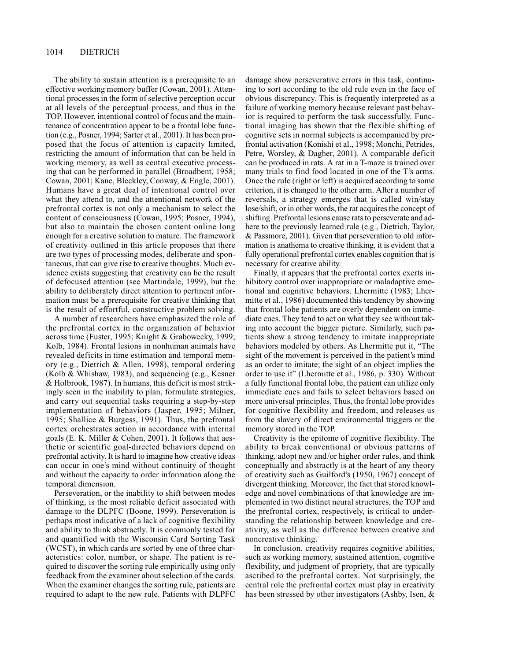The ability to sustain attention is a prerequisite to an effective working memory buffer (Cowan, 2001). Attentional processes in the form of selective perception occur at all levels of the perceptual process, and thus in the TOP. However, intentional control of focus and the maintenance of concentration appear to be a frontal lobe function (e.g., Posner, 1994; Sarter et al., 2001). It has been proposed that the focus of attention is capacity limited, restricting the amount of information that can be held in working memory, as well as central executive processing that can be performed in parallel (Broadbent, 1958; Cowan, 2001; Kane, Bleckley, Conway, & Engle, 2001). Humans have a great deal of intentional control over what they attend to, and the attentional network of the prefrontal cortex is not only a mechanism to select the content of consciousness (Cowan, 1995; Posner, 1994), but also to maintain the chosen content online long enough for a creative solution to mature. The framework of creativity outlined in this article proposes that there are two types of processing modes, deliberate and spontaneous, that can give rise to creative thoughts. Much evidence exists suggesting that creativity can be the result of defocused attention (see Martindale, 1999), but the ability to deliberately direct attention to pertinent information must be a prerequisite for creative thinking that is the result of effortful, constructive problem solving.

A number of researchers have emphasized the role of the prefrontal cortex in the organization of behavior across time (Fuster, 1995; Knight & Grabowecky, 1999; Kolb, 1984). Frontal lesions in nonhuman animals have revealed deficits in time estimation and temporal memory (e.g., Dietrich & Allen, 1998), temporal ordering (Kolb & Whishaw, 1983), and sequencing (e.g., Kesner & Holbrook, 1987). In humans, this deficit is most strikingly seen in the inability to plan, formulate strategies, and carry out sequential tasks requiring a step-by-step implementation of behaviors (Jasper, 1995; Milner, 1995; Shallice & Burgess, 1991). Thus, the prefrontal cortex orchestrates action in accordance with internal goals (E. K. Miller & Cohen, 2001). It follows that aesthetic or scientific goal-directed behaviors depend on prefrontal activity. It is hard to imagine how creative ideas can occur in one's mind without continuity of thought and without the capacity to order information along the temporal dimension.

Perseveration, or the inability to shift between modes of thinking, is the most reliable deficit associated with damage to the DLPFC (Boone, 1999). Perseveration is perhaps most indicative of a lack of cognitive flexibility and ability to think abstractly. It is commonly tested for and quantified with the Wisconsin Card Sorting Task (WCST), in which cards are sorted by one of three characteristics: color, number, or shape. The patient is required to discover the sorting rule empirically using only feedback from the examiner about selection of the cards. When the examiner changes the sorting rule, patients are required to adapt to the new rule. Patients with DLPFC

damage show perseverative errors in this task, continuing to sort according to the old rule even in the face of obvious discrepancy. This is frequently interpreted as a failure of working memory because relevant past behavior is required to perform the task successfully. Functional imaging has shown that the flexible shifting of cognitive sets in normal subjects is accompanied by prefrontal activation (Konishi et al., 1998; Monchi, Petrides, Petre, Worsley, & Dagher, 2001). A comparable deficit can be produced in rats. A rat in a T-maze is trained over many trials to find food located in one of the T's arms. Once the rule (right or left) is acquired according to some criterion, it is changed to the other arm. After a number of reversals, a strategy emerges that is called win/stay lose/shift, or in other words, the rat acquires the concept of shifting. Prefrontal lesions cause rats to perseverate and adhere to the previously learned rule (e.g., Dietrich, Taylor, & Passmore, 2001). Given that perseveration to old information is anathema to creative thinking, it is evident that a fully operational prefrontal cortex enables cognition that is necessary for creative ability.

Finally, it appears that the prefrontal cortex exerts inhibitory control over inappropriate or maladaptive emotional and cognitive behaviors. Lhermitte (1983; Lhermitte et al., 1986) documented this tendency by showing that frontal lobe patients are overly dependent on immediate cues. They tend to act on what they see without taking into account the bigger picture. Similarly, such patients show a strong tendency to imitate inappropriate behaviors modeled by others. As Lhermitte put it, "The sight of the movement is perceived in the patient's mind as an order to imitate; the sight of an object implies the order to use it" (Lhermitte et al., 1986, p. 330). Without a fully functional frontal lobe, the patient can utilize only immediate cues and fails to select behaviors based on more universal principles. Thus, the frontal lobe provides for cognitive flexibility and freedom, and releases us from the slavery of direct environmental triggers or the memory stored in the TOP.

Creativity is the epitome of cognitive flexibility. The ability to break conventional or obvious patterns of thinking, adopt new and/or higher order rules, and think conceptually and abstractly is at the heart of any theory of creativity such as Guilford's (1950, 1967) concept of divergent thinking. Moreover, the fact that stored knowledge and novel combinations of that knowledge are implemented in two distinct neural structures, the TOP and the prefrontal cortex, respectively, is critical to understanding the relationship between knowledge and creativity, as well as the difference between creative and noncreative thinking.

In conclusion, creativity requires cognitive abilities, such as working memory, sustained attention, cognitive flexibility, and judgment of propriety, that are typically ascribed to the prefrontal cortex. Not surprisingly, the central role the prefrontal cortex must play in creativity has been stressed by other investigators (Ashby, Isen,  $\&$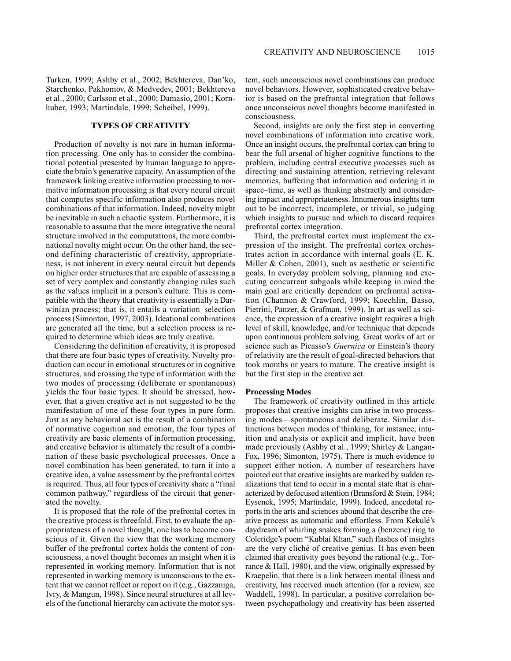Turken, 1999; Ashby et al., 2002; Bekhtereva, Dan'ko, Starchenko, Pakhomov, & Medvedev, 2001; Bekhtereva et al., 2000; Carlsson et al., 2000; Damasio, 2001; Kornhuber, 1993; Martindale, 1999; Scheibel, 1999).

## **TYPES OF CREATIVITY**

Production of novelty is not rare in human information processing. One only has to consider the combinational potential presented by human language to appreciate the brain's generative capacity. An assumption of the framework linking creative information processing to normative information processing is that every neural circuit that computes specific information also produces novel combinations of that information. Indeed, novelty might be inevitable in such a chaotic system. Furthermore, it is reasonable to assume that the more integrative the neural structure involved in the computations, the more combinational novelty might occur. On the other hand, the second defining characteristic of creativity, appropriateness, is not inherent in every neural circuit but depends on higher order structures that are capable of assessing a set of very complex and constantly changing rules such as the values implicit in a person's culture. This is compatible with the theory that creativity is essentially a Darwinian process; that is, it entails a variation-selection process (Simonton, 1997, 2003). Ideational combinations are generated all the time, but a selection process is required to determine which ideas are truly creative.

Considering the definition of creativity, it is proposed that there are four basic types of creativity. Novelty production can occur in emotional structures or in cognitive structures, and crossing the type of information with the two modes of processing (deliberate or spontaneous) yields the four basic types. It should be stressed, however, that a given creative act is not suggested to be the manifestation of one of these four types in pure form. Just as any behavioral act is the result of a combination of normative cognition and emotion, the four types of creativity are basic elements of information processing, and creative behavior is ultimately the result of a combination of these basic psychological processes. Once a novel combination has been generated, to turn it into a creative idea, a value assessment by the prefrontal cortex is required. Thus, all four types of creativity share a "final" common pathway," regardless of the circuit that generated the novelty.

It is proposed that the role of the prefrontal cortex in the creative process is threefold. First, to evaluate the appropriateness of a novel thought, one has to become conscious of it. Given the view that the working memory buffer of the prefrontal cortex holds the content of consciousness, a novel thought becomes an insight when it is represented in working memory. Information that is not represented in working memory is unconscious to the extent that we cannot reflect or report on it (e.g., Gazzaniga, Ivry, & Mangun, 1998). Since neural structures at all levels of the functional hierarchy can activate the motor system, such unconscious novel combinations can produce novel behaviors. However, sophisticated creative behavior is based on the prefrontal integration that follows once unconscious novel thoughts become manifested in consciousness.

Second, insights are only the first step in converting novel combinations of information into creative work. Once an insight occurs, the prefrontal cortex can bring to bear the full arsenal of higher cognitive functions to the problem, including central executive processes such as directing and sustaining attention, retrieving relevant memories, buffering that information and ordering it in space–time, as well as thinking abstractly and considering impact and appropriateness. Innumerous insights turn out to be incorrect, incomplete, or trivial, so judging which insights to pursue and which to discard requires prefrontal cortex integration.

Third, the prefrontal cortex must implement the expression of the insight. The prefrontal cortex orchestrates action in accordance with internal goals (E.K. Miller  $\&$  Cohen, 2001), such as aesthetic or scientific goals. In everyday problem solving, planning and executing concurrent subgoals while keeping in mind the main goal are critically dependent on prefrontal activation (Channon & Crawford, 1999; Koechlin, Basso, Pietrini, Panzer, & Grafman, 1999). In art as well as science, the expression of a creative insight requires a high level of skill, knowledge, and/or technique that depends upon continuous problem solving. Great works of art or science such as Picasso's *Guernica* or Einstein's theory of relativity are the result of goal-directed behaviors that took months or years to mature. The creative insight is but the first step in the creative act.

### **Processing Modes**

The framework of creativity outlined in this article proposes that creative insights can arise in two processing modes—spontaneous and deliberate. Similar distinctions between modes of thinking, for instance, intuition and analysis or explicit and implicit, have been made previously (Ashby et al., 1999; Shirley & Langan-Fox, 1996; Simonton, 1975). There is much evidence to support either notion. A number of researchers have pointed out that creative insights are marked by sudden realizations that tend to occur in a mental state that is characterized by defocused attention (Bransford & Stein, 1984; Eysenck, 1995; Martindale, 1999). Indeed, anecdotal reports in the arts and sciences abound that describe the creative process as automatic and effortless. From Kekulé's daydream of whirling snakes forming a (benzene) ring to Coleridge's poem "Kublai Khan," such flashes of insights are the very cliché of creative genius. It has even been claimed that creativity goes beyond the rational (e.g., Torrance  $\&$  Hall, 1980), and the view, originally expressed by Kraepelin, that there is a link between mental illness and creativity, has received much attention (for a review, see Waddell, 1998). In particular, a positive correlation between psychopathology and creativity has been asserted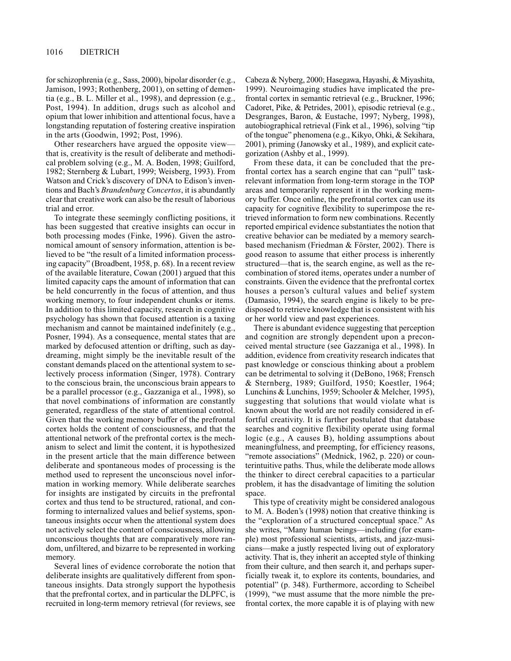for schizophrenia (e.g., Sass, 2000), bipolar disorder (e.g., Jamison, 1993; Rothenberg, 2001), on setting of dementia (e.g., B. L. Miller et al., 1998), and depression (e.g., Post, 1994). In addition, drugs such as alcohol and opium that lower inhibition and attentional focus, have a longstanding reputation of fostering creative inspiration in the arts (Goodwin, 1992; Post, 1996).

Other researchers have argued the opposite view that is, creativity is the result of deliberate and methodical problem solving (e.g., M. A. Boden, 1998; Guilford, 1982; Sternberg & Lubart, 1999; Weisberg, 1993). From Watson and Crick's discovery of DNA to Edison's inventions and Bach's Brandenburg Concertos, it is abundantly clear that creative work can also be the result of laborious trial and error.

To integrate these seemingly conflicting positions, it has been suggested that creative insights can occur in both processing modes (Finke, 1996). Given the astronomical amount of sensory information, attention is believed to be "the result of a limited information processing capacity" (Broadbent, 1958, p. 68). In a recent review of the available literature, Cowan (2001) argued that this limited capacity caps the amount of information that can be held concurrently in the focus of attention, and thus working memory, to four independent chunks or items. In addition to this limited capacity, research in cognitive psychology has shown that focused attention is a taxing mechanism and cannot be maintained indefinitely (e.g., Posner, 1994). As a consequence, mental states that are marked by defocused attention or drifting, such as daydreaming, might simply be the inevitable result of the constant demands placed on the attentional system to selectively process information (Singer, 1978). Contrary to the conscious brain, the unconscious brain appears to be a parallel processor (e.g., Gazzaniga et al., 1998), so that novel combinations of information are constantly generated, regardless of the state of attentional control. Given that the working memory buffer of the prefrontal cortex holds the content of consciousness, and that the attentional network of the prefrontal cortex is the mechanism to select and limit the content, it is hypothesized in the present article that the main difference between deliberate and spontaneous modes of processing is the method used to represent the unconscious novel information in working memory. While deliberate searches for insights are instigated by circuits in the prefrontal cortex and thus tend to be structured, rational, and conforming to internalized values and belief systems, spontaneous insights occur when the attentional system does not actively select the content of consciousness, allowing unconscious thoughts that are comparatively more random, unfiltered, and bizarre to be represented in working memory.

Several lines of evidence corroborate the notion that deliberate insights are qualitatively different from spontaneous insights. Data strongly support the hypothesis that the prefrontal cortex, and in particular the DLPFC, is recruited in long-term memory retrieval (for reviews, see

Cabeza & Nyberg, 2000; Hasegawa, Hayashi, & Miyashita, 1999). Neuroimaging studies have implicated the prefrontal cortex in semantic retrieval (e.g., Bruckner, 1996; Cadoret, Pike, & Petrides, 2001), episodic retrieval (e.g., Desgranges, Baron, & Eustache, 1997; Nyberg, 1998), autobiographical retrieval (Fink et al., 1996), solving "tip of the tongue" phenomena (e.g., Kikyo, Ohki, & Sekihara, 2001), priming (Janowsky et al., 1989), and explicit categorization (Ashby et al., 1999).

From these data, it can be concluded that the prefrontal cortex has a search engine that can "pull" taskrelevant information from long-term storage in the TOP areas and temporarily represent it in the working memory buffer. Once online, the prefrontal cortex can use its capacity for cognitive flexibility to superimpose the retrieved information to form new combinations. Recently reported empirical evidence substantiates the notion that creative behavior can be mediated by a memory searchbased mechanism (Friedman & Förster, 2002). There is good reason to assume that either process is inherently structured—that is, the search engine, as well as the recombination of stored items, operates under a number of constraints. Given the evidence that the prefrontal cortex houses a person's cultural values and belief system (Damasio, 1994), the search engine is likely to be predisposed to retrieve knowledge that is consistent with his or her world view and past experiences.

There is abundant evidence suggesting that perception and cognition are strongly dependent upon a preconceived mental structure (see Gazzaniga et al., 1998). In addition, evidence from creativity research indicates that past knowledge or conscious thinking about a problem can be detrimental to solving it (DeBono, 1968; Frensch & Sternberg, 1989; Guilford, 1950; Koestler, 1964; Lunchins & Lunchins, 1959; Schooler & Melcher, 1995), suggesting that solutions that would violate what is known about the world are not readily considered in effortful creativity. It is further postulated that database searches and cognitive flexibility operate using formal logic (e.g., A causes B), holding assumptions about meaningfulness, and preempting, for efficiency reasons, "remote associations" (Mednick, 1962, p. 220) or counterintuitive paths. Thus, while the deliberate mode allows the thinker to direct cerebral capacities to a particular problem, it has the disadvantage of limiting the solution space.

This type of creativity might be considered analogous to M. A. Boden's (1998) notion that creative thinking is the "exploration of a structured conceptual space." As she writes, "Many human beings—including (for example) most professional scientists, artists, and jazz-musicians—make a justly respected living out of exploratory activity. That is, they inherit an accepted style of thinking from their culture, and then search it, and perhaps superficially tweak it, to explore its contents, boundaries, and potential" (p. 348). Furthermore, according to Scheibel (1999), "we must assume that the more nimble the prefrontal cortex, the more capable it is of playing with new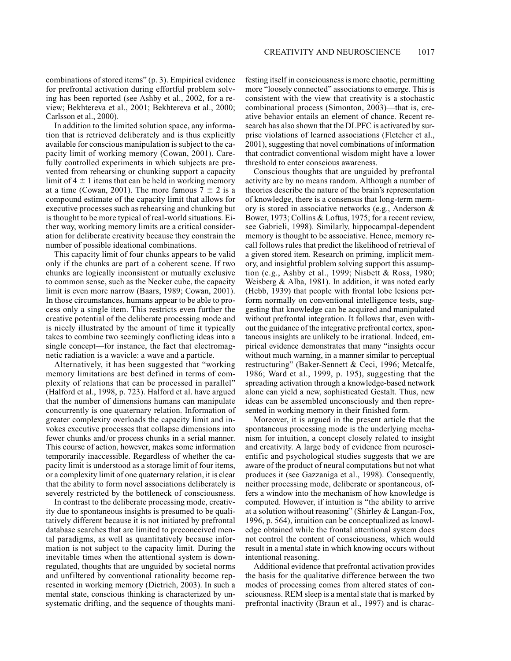combinations of stored items" (p. 3). Empirical evidence for prefrontal activation during effortful problem solving has been reported (see Ashby et al., 2002, for a review; Bekhtereva et al., 2001; Bekhtereva et al., 2000; Carlsson et al., 2000).

In addition to the limited solution space, any information that is retrieved deliberately and is thus explicitly available for conscious manipulation is subject to the capacity limit of working memory (Cowan, 2001). Carefully controlled experiments in which subjects are prevented from rehearsing or chunking support a capacity limit of  $4 \pm 1$  items that can be held in working memory at a time (Cowan, 2001). The more famous  $7 \pm 2$  is a compound estimate of the capacity limit that allows for executive processes such as rehearsing and chunking but is thought to be more typical of real-world situations. Either way, working memory limits are a critical consideration for deliberate creativity because they constrain the number of possible ideational combinations.

This capacity limit of four chunks appears to be valid only if the chunks are part of a coherent scene. If two chunks are logically inconsistent or mutually exclusive to common sense, such as the Necker cube, the capacity limit is even more narrow (Baars, 1989; Cowan, 2001). In those circumstances, humans appear to be able to process only a single item. This restricts even further the creative potential of the deliberate processing mode and is nicely illustrated by the amount of time it typically takes to combine two seemingly conflicting ideas into a single concept—for instance, the fact that electromagnetic radiation is a wavicle: a wave and a particle.

Alternatively, it has been suggested that "working" memory limitations are best defined in terms of complexity of relations that can be processed in parallel" (Halford et al., 1998, p. 723). Halford et al. have argued that the number of dimensions humans can manipulate concurrently is one quaternary relation. Information of greater complexity overloads the capacity limit and invokes executive processes that collapse dimensions into fewer chunks and/or process chunks in a serial manner. This course of action, however, makes some information temporarily inaccessible. Regardless of whether the capacity limit is understood as a storage limit of four items, or a complexity limit of one quaternary relation, it is clear that the ability to form novel associations deliberately is severely restricted by the bottleneck of consciousness.

In contrast to the deliberate processing mode, creativity due to spontaneous insights is presumed to be qualitatively different because it is not initiated by prefrontal database searches that are limited to preconceived mental paradigms, as well as quantitatively because information is not subject to the capacity limit. During the inevitable times when the attentional system is downregulated, thoughts that are unguided by societal norms and unfiltered by conventional rationality become represented in working memory (Dietrich, 2003). In such a mental state, conscious thinking is characterized by unsystematic drifting, and the sequence of thoughts mani-

festing itself in consciousness is more chaotic, permitting more "loosely connected" associations to emerge. This is consistent with the view that creativity is a stochastic combinational process (Simonton, 2003)—that is, creative behavior entails an element of chance. Recent research has also shown that the DLPFC is activated by surprise violations of learned associations (Fletcher et al., 2001), suggesting that novel combinations of information that contradict conventional wisdom might have a lower threshold to enter conscious awareness.

Conscious thoughts that are unguided by prefrontal activity are by no means random. Although a number of theories describe the nature of the brain's representation of knowledge, there is a consensus that long-term memory is stored in associative networks (e.g., Anderson  $\&$ Bower, 1973; Collins & Loftus, 1975; for a recent review, see Gabrieli, 1998). Similarly, hippocampal-dependent memory is thought to be associative. Hence, memory recall follows rules that predict the likelihood of retrieval of a given stored item. Research on priming, implicit memory, and insightful problem solving support this assumption (e.g., Ashby et al., 1999; Nisbett & Ross, 1980; Weisberg & Alba, 1981). In addition, it was noted early (Hebb, 1939) that people with frontal lobe lesions perform normally on conventional intelligence tests, suggesting that knowledge can be acquired and manipulated without prefrontal integration. It follows that, even without the guidance of the integrative prefrontal cortex, spontaneous insights are unlikely to be irrational. Indeed, empirical evidence demonstrates that many "insights occur without much warning, in a manner similar to perceptual restructuring" (Baker-Sennett & Ceci, 1996; Metcalfe, 1986; Ward et al., 1999, p. 195), suggesting that the spreading activation through a knowledge-based network alone can yield a new, sophisticated Gestalt. Thus, new ideas can be assembled unconsciously and then represented in working memory in their finished form.

Moreover, it is argued in the present article that the spontaneous processing mode is the underlying mechanism for intuition, a concept closely related to insight and creativity. A large body of evidence from neuroscientific and psychological studies suggests that we are aware of the product of neural computations but not what produces it (see Gazzaniga et al., 1998). Consequently, neither processing mode, deliberate or spontaneous, offers a window into the mechanism of how knowledge is computed. However, if intuition is "the ability to arrive at a solution without reasoning" (Shirley & Langan-Fox, 1996, p. 564), intuition can be conceptualized as knowledge obtained while the frontal attentional system does not control the content of consciousness, which would result in a mental state in which knowing occurs without intentional reasoning.

Additional evidence that prefrontal activation provides the basis for the qualitative difference between the two modes of processing comes from altered states of consciousness. REM sleep is a mental state that is marked by prefrontal inactivity (Braun et al., 1997) and is charac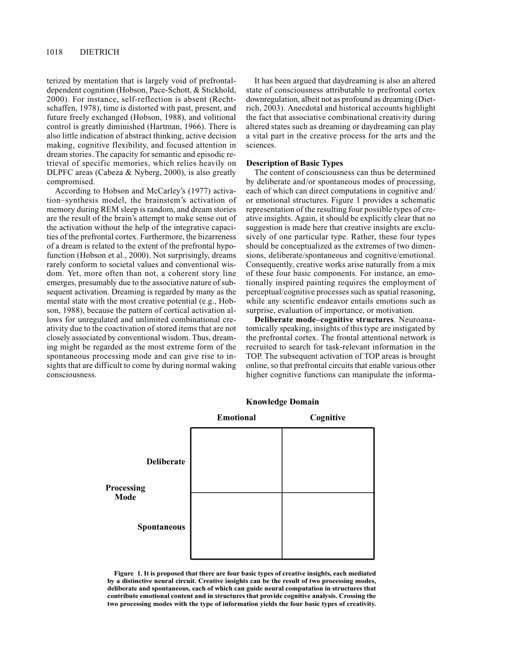terized by mentation that is largely void of prefrontaldependent cognition (Hobson, Pace-Schott, & Stickhold, 2000). For instance, self-reflection is absent (Rechtschaffen, 1978), time is distorted with past, present, and future freely exchanged (Hobson, 1988), and volitional control is greatly diminished (Hartman, 1966). There is also little indication of abstract thinking, active decision making, cognitive flexibility, and focused attention in dream stories. The capacity for semantic and episodic retrieval of specific memories, which relies heavily on DLPFC areas (Cabeza & Nyberg, 2000), is also greatly compromised.

According to Hobson and McCarley's (1977) activation-synthesis model, the brainstem's activation of memory during REM sleep is random, and dream stories are the result of the brain's attempt to make sense out of the activation without the help of the integrative capacities of the prefrontal cortex. Furthermore, the bizarreness of a dream is related to the extent of the prefrontal hypofunction (Hobson et al., 2000). Not surprisingly, dreams rarely conform to societal values and conventional wisdom. Yet, more often than not, a coherent story line emerges, presumably due to the associative nature of subsequent activation. Dreaming is regarded by many as the mental state with the most creative potential (e.g., Hobson, 1988), because the pattern of cortical activation allows for unregulated and unlimited combinational creativity due to the coactivation of stored items that are not closely associated by conventional wisdom. Thus, dreaming might be regarded as the most extreme form of the spontaneous processing mode and can give rise to insights that are difficult to come by during normal waking consciousness.

It has been argued that day dreaming is also an altered state of consciousness attributable to prefrontal cortex downregulation, albeit not as profound as dreaming (Dietrich, 2003). Anecdotal and historical accounts highlight the fact that associative combinational creativity during altered states such as dreaming or daydreaming can play a vital part in the creative process for the arts and the sciences.

## **Description of Basic Types**

The content of consciousness can thus be determined by deliberate and/or spontaneous modes of processing, each of which can direct computations in cognitive and/ or emotional structures. Figure 1 provides a schematic representation of the resulting four possible types of creative insights. Again, it should be explicitly clear that no suggestion is made here that creative insights are exclusively of one particular type. Rather, these four types should be conceptualized as the extremes of two dimensions, deliberate/spontaneous and cognitive/emotional. Consequently, creative works arise naturally from a mix of these four basic components. For instance, an emotionally inspired painting requires the employment of perceptual/cognitive processes such as spatial reasoning, while any scientific endeavor entails emotions such as surprise, evaluation of importance, or motivation.

Deliberate mode-cognitive structures. Neuroanatomically speaking, insights of this type are instigated by the prefrontal cortex. The frontal attentional network is recruited to search for task-relevant information in the TOP. The subsequent activation of TOP areas is brought online, so that prefrontal circuits that enable various other higher cognitive functions can manipulate the informa-



### **Knowledge Domain**

Figure 1. It is proposed that there are four basic types of creative insights, each mediated by a distinctive neural circuit. Creative insights can be the result of two processing modes, deliberate and spontaneous, each of which can guide neural computation in structures that contribute emotional content and in structures that provide cognitive analysis. Crossing the two processing modes with the type of information yields the four basic types of creativity.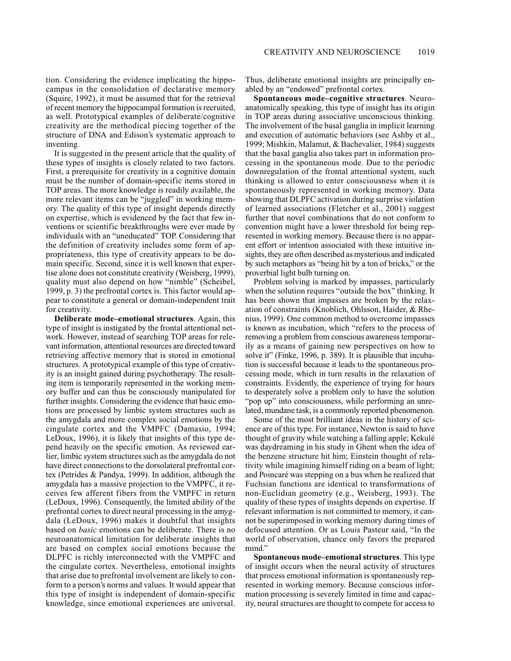tion. Considering the evidence implicating the hippocampus in the consolidation of declarative memory (Squire, 1992), it must be assumed that for the retrieval of recent memory the hippocampal formation is recruited, as well. Prototypical examples of deliberate/cognitive creativity are the methodical piecing together of the structure of DNA and Edison's systematic approach to inventing.

It is suggested in the present article that the quality of these types of insights is closely related to two factors. First, a prerequisite for creativity in a cognitive domain must be the number of domain-specific items stored in TOP areas. The more knowledge is readily available, the more relevant items can be "juggled" in working memory. The quality of this type of insight depends directly on expertise, which is evidenced by the fact that few inventions or scientific breakthroughs were ever made by individuals with an "uneducated" TOP. Considering that the definition of creativity includes some form of appropriateness, this type of creativity appears to be domain specific. Second, since it is well known that expertise alone does not constitute creativity (Weisberg, 1999), quality must also depend on how "nimble" (Scheibel, 1999, p. 3) the prefrontal cortex is. This factor would appear to constitute a general or domain-independent trait for creativity.

**Deliberate mode–emotional structures.** Again, this type of insight is instigated by the frontal attentional network. However, instead of searching TOP areas for relevant information, attentional resources are directed toward retrieving affective memory that is stored in emotional structures. A prototypical example of this type of creativity is an insight gained during psychotherapy. The resulting item is temporarily represented in the working memory buffer and can thus be consciously manipulated for further insights. Considering the evidence that basic emotions are processed by limbic system structures such as the amygdala and more complex social emotions by the cingulate cortex and the VMPFC (Damasio, 1994; LeDoux, 1996), it is likely that insights of this type depend heavily on the specific emotion. As reviewed earlier, limbic system structures such as the amygdala do not have direct connections to the dorsolateral prefrontal cortex (Petrides & Pandya, 1999). In addition, although the amygdala has a massive projection to the VMPFC, it receives few afferent fibers from the VMPFC in return (LeDoux, 1996). Consequently, the limited ability of the prefrontal cortex to direct neural processing in the amygdala (LeDoux, 1996) makes it doubtful that insights based on *basic* emotions can be deliberate. There is no neuroanatomical limitation for deliberate insights that are based on complex social emotions because the DLPFC is richly interconnected with the VMPFC and the cingulate cortex. Nevertheless, emotional insights that arise due to prefrontal involvement are likely to conform to a person's norms and values. It would appear that this type of insight is independent of domain-specific knowledge, since emotional experiences are universal.

Thus, deliberate emotional insights are principally enabled by an "endowed" prefrontal cortex.

Spontaneous mode-cognitive structures. Neuroanatomically speaking, this type of insight has its origin in TOP areas during associative unconscious thinking. The involvement of the basal ganglia in implicit learning and execution of automatic behaviors (see Ashby et al., 1999; Mishkin, Malamut, & Bachevalier, 1984) suggests that the basal ganglia also takes part in information processing in the spontaneous mode. Due to the periodic downregulation of the frontal attentional system, such thinking is allowed to enter consciousness when it is spontaneously represented in working memory. Data showing that DLPFC activation during surprise violation of learned associations (Fletcher et al., 2001) suggest further that novel combinations that do not conform to convention might have a lower threshold for being represented in working memory. Because there is no apparent effort or intention associated with these intuitive insights, they are often described as mysterious and indicated by such metaphors as "being hit by a ton of bricks," or the proverbial light bulb turning on.

Problem solving is marked by impasses, particularly when the solution requires "outside the box" thinking. It has been shown that impasses are broken by the relaxation of constraints (Knoblich, Ohlsson, Haider, & Rhenius, 1999). One common method to overcome impasses is known as incubation, which "refers to the process of removing a problem from conscious awareness temporarily as a means of gaining new perspectives on how to solve it" (Finke, 1996, p. 389). It is plausible that incubation is successful because it leads to the spontaneous processing mode, which in turn results in the relaxation of constraints. Evidently, the experience of trying for hours to desperately solve a problem only to have the solution "pop up" into consciousness, while performing an unrelated, mundane task, is a commonly reported phenomenon.

Some of the most brilliant ideas in the history of science are of this type. For instance, Newton is said to have thought of gravity while watching a falling apple; Kekulé was daydreaming in his study in Ghent when the idea of the benzene structure hit him; Einstein thought of relativity while imagining himself riding on a beam of light; and Poincaré was stepping on a bus when he realized that Fuchsian functions are identical to transformations of non-Euclidian geometry (e.g., Weisberg, 1993). The quality of these types of insights depends on expertise. If relevant information is not committed to memory, it cannot be superimposed in working memory during times of defocused attention. Or as Louis Pasteur said, "In the world of observation, chance only favors the prepared mind."

Spontaneous mode-emotional structures. This type of insight occurs when the neural activity of structures that process emotional information is spontaneously represented in working memory. Because conscious information processing is severely limited in time and capacity, neural structures are thought to compete for access to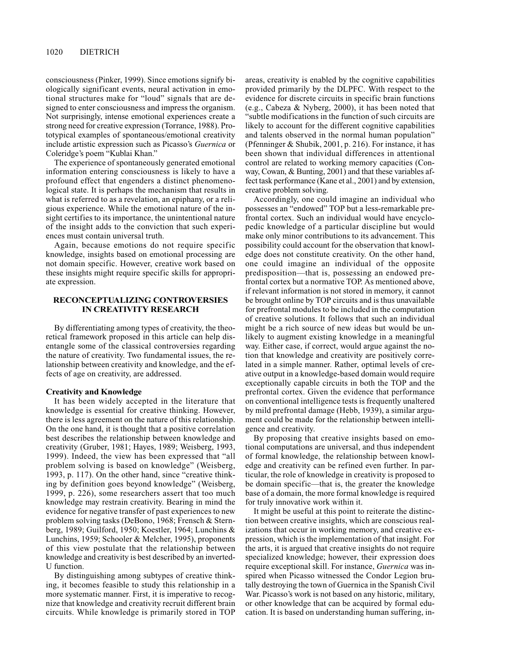consciousness (Pinker, 1999). Since emotions signify biologically significant events, neural activation in emotional structures make for "loud" signals that are designed to enter consciousness and impress the organism. Not surprisingly, intense emotional experiences create a strong need for creative expression (Torrance, 1988). Prototypical examples of spontaneous/emotional creativity include artistic expression such as Picasso's Guernica or Coleridge's poem "Kublai Khan."

The experience of spontaneously generated emotional information entering consciousness is likely to have a profound effect that engenders a distinct phenomenological state. It is perhaps the mechanism that results in what is referred to as a revelation, an epiphany, or a religious experience. While the emotional nature of the insight certifies to its importance, the unintentional nature of the insight adds to the conviction that such experiences must contain universal truth.

Again, because emotions do not require specific knowledge, insights based on emotional processing are not domain specific. However, creative work based on these insights might require specific skills for appropriate expression.

## RECONCEPTUALIZING CONTROVERSIES **IN CREATIVITY RESEARCH**

By differentiating among types of creativity, the theoretical framework proposed in this article can help disentangle some of the classical controversies regarding the nature of creativity. Two fundamental issues, the relationship between creativity and knowledge, and the effects of age on creativity, are addressed.

## **Creativity and Knowledge**

It has been widely accepted in the literature that knowledge is essential for creative thinking. However, there is less agreement on the nature of this relationship. On the one hand, it is thought that a positive correlation best describes the relationship between knowledge and creativity (Gruber, 1981; Hayes, 1989; Weisberg, 1993, 1999). Indeed, the view has been expressed that "all problem solving is based on knowledge" (Weisberg, 1993, p. 117). On the other hand, since "creative thinking by definition goes beyond knowledge" (Weisberg, 1999, p. 226), some researchers assert that too much knowledge may restrain creativity. Bearing in mind the evidence for negative transfer of past experiences to new problem solving tasks (DeBono, 1968; Frensch & Sternberg, 1989; Guilford, 1950; Koestler, 1964; Lunchins & Lunchins, 1959; Schooler & Melcher, 1995), proponents of this view postulate that the relationship between knowledge and creativity is best described by an inverted-U function.

By distinguishing among subtypes of creative thinking, it becomes feasible to study this relationship in a more systematic manner. First, it is imperative to recognize that knowledge and creativity recruit different brain circuits. While knowledge is primarily stored in TOP areas, creativity is enabled by the cognitive capabilities provided primarily by the DLPFC. With respect to the evidence for discrete circuits in specific brain functions (e.g., Cabeza & Nyberg, 2000), it has been noted that "subtle modifications in the function of such circuits are likely to account for the different cognitive capabilities and talents observed in the normal human population" (Pfenninger & Shubik, 2001, p. 216). For instance, it has been shown that individual differences in attentional control are related to working memory capacities (Conway, Cowan, & Bunting, 2001) and that these variables affect task performance (Kane et al., 2001) and by extension, creative problem solving.

Accordingly, one could imagine an individual who possesses an "endowed" TOP but a less-remarkable prefrontal cortex. Such an individual would have encyclopedic knowledge of a particular discipline but would make only minor contributions to its advancement. This possibility could account for the observation that knowledge does not constitute creativity. On the other hand, one could imagine an individual of the opposite predisposition—that is, possessing an endowed prefrontal cortex but a normative TOP. As mentioned above, if relevant information is not stored in memory, it cannot be brought online by TOP circuits and is thus unavailable for prefrontal modules to be included in the computation of creative solutions. It follows that such an individual might be a rich source of new ideas but would be unlikely to augment existing knowledge in a meaningful way. Either case, if correct, would argue against the notion that knowledge and creativity are positively correlated in a simple manner. Rather, optimal levels of creative output in a knowledge-based domain would require exceptionally capable circuits in both the TOP and the prefrontal cortex. Given the evidence that performance on conventional intelligence tests is frequently unaltered by mild prefrontal damage (Hebb, 1939), a similar argument could be made for the relationship between intelligence and creativity.

By proposing that creative insights based on emotional computations are universal, and thus independent of formal knowledge, the relationship between knowledge and creativity can be refined even further. In particular, the role of knowledge in creativity is proposed to be domain specific—that is, the greater the knowledge base of a domain, the more formal knowledge is required for truly innovative work within it.

It might be useful at this point to reiterate the distinction between creative insights, which are conscious realizations that occur in working memory, and creative expression, which is the implementation of that insight. For the arts, it is argued that creative insights do not require specialized knowledge; however, their expression does require exceptional skill. For instance, *Guernica* was inspired when Picasso witnessed the Condor Legion brutally destroying the town of Guernica in the Spanish Civil War. Picasso's work is not based on any historic, military, or other knowledge that can be acquired by formal education. It is based on understanding human suffering, in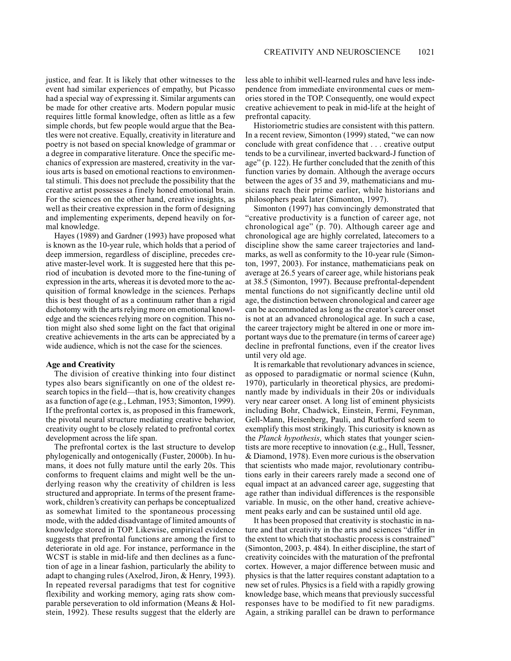justice, and fear. It is likely that other witnesses to the event had similar experiences of empathy, but Picasso had a special way of expressing it. Similar arguments can be made for other creative arts. Modern popular music requires little formal knowledge, often as little as a few simple chords, but few people would argue that the Beatles were not creative. Equally, creativity in literature and poetry is not based on special knowledge of grammar or a degree in comparative literature. Once the specific mechanics of expression are mastered, creativity in the various arts is based on emotional reactions to environmental stimuli. This does not preclude the possibility that the creative artist possesses a finely honed emotional brain. For the sciences on the other hand, creative insights, as well as their creative expression in the form of designing and implementing experiments, depend heavily on formal knowledge.

Hayes (1989) and Gardner (1993) have proposed what is known as the 10-year rule, which holds that a period of deep immersion, regardless of discipline, precedes creative master-level work. It is suggested here that this period of incubation is devoted more to the fine-tuning of expression in the arts, whereas it is devoted more to the acquisition of formal knowledge in the sciences. Perhaps this is best thought of as a continuum rather than a rigid dichotomy with the arts relying more on emotional knowledge and the sciences relying more on cognition. This notion might also shed some light on the fact that original creative achievements in the arts can be appreciated by a wide audience, which is not the case for the sciences.

#### **Age and Creativity**

The division of creative thinking into four distinct types also bears significantly on one of the oldest research topics in the field—that is, how creativity changes as a function of age (e.g., Lehman, 1953; Simonton, 1999). If the prefrontal cortex is, as proposed in this framework, the pivotal neural structure mediating creative behavior, creativity ought to be closely related to prefrontal cortex development across the life span.

The prefrontal cortex is the last structure to develop phylogenically and ontogenically (Fuster, 2000b). In humans, it does not fully mature until the early 20s. This conforms to frequent claims and might well be the underlying reason why the creativity of children is less structured and appropriate. In terms of the present framework, children's creativity can perhaps be conceptualized as somewhat limited to the spontaneous processing mode, with the added disadvantage of limited amounts of knowledge stored in TOP. Likewise, empirical evidence suggests that prefrontal functions are among the first to deteriorate in old age. For instance, performance in the WCST is stable in mid-life and then declines as a function of age in a linear fashion, particularly the ability to adapt to changing rules (Axelrod, Jiron, & Henry, 1993). In repeated reversal paradigms that test for cognitive flexibility and working memory, aging rats show comparable perseveration to old information (Means  $&$  Holstein, 1992). These results suggest that the elderly are

less able to inhibit well-learned rules and have less independence from immediate environmental cues or memories stored in the TOP. Consequently, one would expect creative achievement to peak in mid-life at the height of prefrontal capacity.

Historiometric studies are consistent with this pattern. In a recent review, Simonton (1999) stated, "we can now conclude with great confidence that . . . creative output tends to be a curvilinear, inverted backward-J function of age" (p. 122). He further concluded that the zenith of this function varies by domain. Although the average occurs between the ages of 35 and 39, mathematicians and musicians reach their prime earlier, while historians and philosophers peak later (Simonton, 1997).

Simonton (1997) has convincingly demonstrated that "creative productivity is a function of career age, not chronological age" (p. 70). Although career age and chronological age are highly correlated, latecomers to a discipline show the same career trajectories and landmarks, as well as conformity to the 10-year rule (Simonton, 1997, 2003). For instance, mathematicians peak on average at 26.5 years of career age, while historians peak at 38.5 (Simonton, 1997). Because prefrontal-dependent mental functions do not significantly decline until old age, the distinction between chronological and career age can be accommodated as long as the creator's career onset is not at an advanced chronological age. In such a case, the career trajectory might be altered in one or more important ways due to the premature (in terms of career age) decline in prefrontal functions, even if the creator lives until very old age.

It is remarkable that revolutionary advances in science, as opposed to paradigmatic or normal science (Kuhn, 1970), particularly in theoretical physics, are predominantly made by individuals in their 20s or individuals very near career onset. A long list of eminent physicists including Bohr, Chadwick, Einstein, Fermi, Feynman, Gell-Mann, Heisenberg, Pauli, and Rutherford seem to exemplify this most strikingly. This curiosity is known as the *Planck hypothesis*, which states that younger scientists are more receptive to innovation (e.g., Hull, Tessner, & Diamond, 1978). Even more curious is the observation that scientists who made major, revolutionary contributions early in their careers rarely made a second one of equal impact at an advanced career age, suggesting that age rather than individual differences is the responsible variable. In music, on the other hand, creative achievement peaks early and can be sustained until old age.

It has been proposed that creativity is stochastic in nature and that creativity in the arts and sciences "differ in the extent to which that stochastic process is constrained" (Simonton, 2003, p. 484). In either discipline, the start of creativity coincides with the maturation of the prefrontal cortex. However, a major difference between music and physics is that the latter requires constant adaptation to a new set of rules. Physics is a field with a rapidly growing knowledge base, which means that previously successful responses have to be modified to fit new paradigms. Again, a striking parallel can be drawn to performance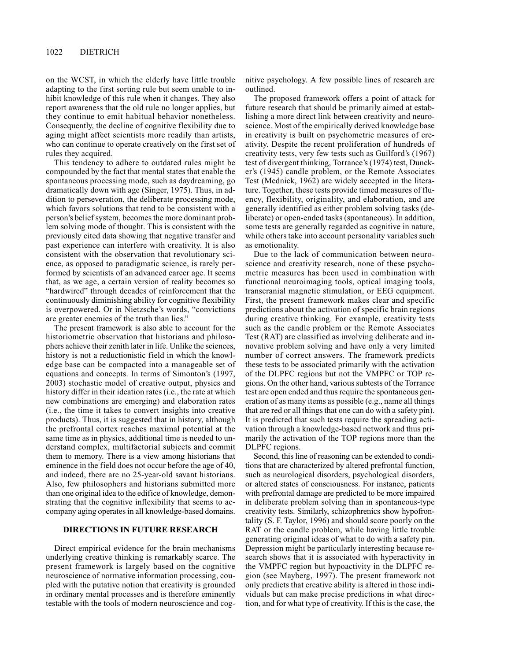on the WCST, in which the elderly have little trouble adapting to the first sorting rule but seem unable to inhibit knowledge of this rule when it changes. They also report awareness that the old rule no longer applies, but they continue to emit habitual behavior nonetheless. Consequently, the decline of cognitive flexibility due to aging might affect scientists more readily than artists, who can continue to operate creatively on the first set of rules they acquired.

This tendency to adhere to outdated rules might be. compounded by the fact that mental states that enable the spontaneous processing mode, such as daydreaming, go dramatically down with age (Singer, 1975). Thus, in addition to perseveration, the deliberate processing mode, which favors solutions that tend to be consistent with a person's belief system, becomes the more dominant problem solving mode of thought. This is consistent with the previously cited data showing that negative transfer and past experience can interfere with creativity. It is also consistent with the observation that revolutionary science, as opposed to paradigmatic science, is rarely performed by scientists of an advanced career age. It seems that, as we age, a certain version of reality becomes so "hardwired" through decades of reinforcement that the continuously diminishing ability for cognitive flexibility is overpowered. Or in Nietzsche's words, "convictions are greater enemies of the truth than lies."

The present framework is also able to account for the historiometric observation that historians and philosophers achieve their zenith later in life. Unlike the sciences, history is not a reductionistic field in which the knowledge base can be compacted into a manageable set of equations and concepts. In terms of Simonton's (1997, 2003) stochastic model of creative output, physics and history differ in their ideation rates (i.e., the rate at which new combinations are emerging) and elaboration rates (i.e., the time it takes to convert insights into creative products). Thus, it is suggested that in history, although the prefrontal cortex reaches maximal potential at the same time as in physics, additional time is needed to understand complex, multifactorial subjects and commit them to memory. There is a view among historians that eminence in the field does not occur before the age of 40, and indeed, there are no 25-year-old savant historians. Also, few philosophers and historians submitted more than one original idea to the edifice of knowledge, demonstrating that the cognitive inflexibility that seems to accompany aging operates in all knowledge-based domains.

## **DIRECTIONS IN FUTURE RESEARCH**

Direct empirical evidence for the brain mechanisms underlying creative thinking is remarkably scarce. The present framework is largely based on the cognitive neuroscience of normative information processing, coupled with the putative notion that creativity is grounded in ordinary mental processes and is therefore eminently testable with the tools of modern neuroscience and cognitive psychology. A few possible lines of research are outlined.

The proposed framework offers a point of attack for future research that should be primarily aimed at establishing a more direct link between creativity and neuroscience. Most of the empirically derived knowledge base in creativity is built on psychometric measures of creativity. Despite the recent proliferation of hundreds of creativity tests, very few tests such as Guilford's (1967) test of divergent thinking, Torrance's (1974) test, Duncker's (1945) candle problem, or the Remote Associates Test (Mednick, 1962) are widely accepted in the literature. Together, these tests provide timed measures of fluency, flexibility, originality, and elaboration, and are generally identified as either problem solving tasks (deliberate) or open-ended tasks (spontaneous). In addition, some tests are generally regarded as cognitive in nature, while others take into account personality variables such as emotionality.

Due to the lack of communication between neuroscience and creativity research, none of these psychometric measures has been used in combination with functional neuroimaging tools, optical imaging tools, transcranial magnetic stimulation, or EEG equipment. First, the present framework makes clear and specific predictions about the activation of specific brain regions during creative thinking. For example, creativity tests such as the candle problem or the Remote Associates Test (RAT) are classified as involving deliberate and innovative problem solving and have only a very limited number of correct answers. The framework predicts these tests to be associated primarily with the activation of the DLPFC regions but not the VMPFC or TOP regions. On the other hand, various subtests of the Torrance test are open ended and thus require the spontaneous generation of as many items as possible (e.g., name all things that are red or all things that one can do with a safety pin). It is predicted that such tests require the spreading activation through a knowledge-based network and thus primarily the activation of the TOP regions more than the DLPFC regions.

Second, this line of reasoning can be extended to conditions that are characterized by altered prefrontal function, such as neurological disorders, psychological disorders, or altered states of consciousness. For instance, patients with prefrontal damage are predicted to be more impaired in deliberate problem solving than in spontaneous-type creativity tests. Similarly, schizophrenics show hypofrontality (S. F. Taylor, 1996) and should score poorly on the RAT or the candle problem, while having little trouble generating original ideas of what to do with a safety pin. Depression might be particularly interesting because research shows that it is associated with hyperactivity in the VMPFC region but hypoactivity in the DLPFC region (see Mayberg, 1997). The present framework not only predicts that creative ability is altered in those individuals but can make precise predictions in what direction, and for what type of creativity. If this is the case, the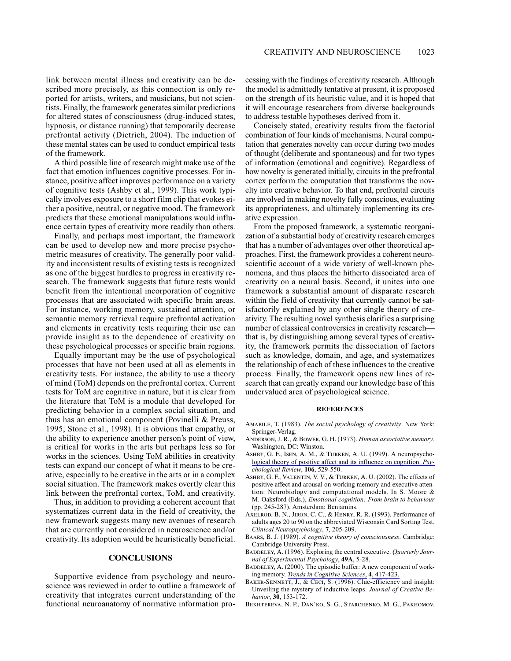link between mental illness and creativity can be described more precisely, as this connection is only reported for artists, writers, and musicians, but not scientists. Finally, the framework generates similar predictions for altered states of consciousness (drug-induced states, hypnosis, or distance running) that temporarily decrease prefrontal activity (Dietrich, 2004). The induction of these mental states can be used to conduct empirical tests of the framework.

A third possible line of research might make use of the fact that emotion influences cognitive processes. For instance, positive affect improves performance on a variety of cognitive tests (Ashby et al., 1999). This work typically involves exposure to a short film clip that evokes either a positive, neutral, or negative mood. The framework predicts that these emotional manipulations would influence certain types of creativity more readily than others.

Finally, and perhaps most important, the framework can be used to develop new and more precise psychometric measures of creativity. The generally poor validity and inconsistent results of existing tests is recognized as one of the biggest hurdles to progress in creativity research. The framework suggests that future tests would benefit from the intentional incorporation of cognitive processes that are associated with specific brain areas. For instance, working memory, sustained attention, or semantic memory retrieval require prefrontal activation and elements in creativity tests requiring their use can provide insight as to the dependence of creativity on these psychological processes or specific brain regions.

Equally important may be the use of psychological processes that have not been used at all as elements in creativity tests. For instance, the ability to use a theory of mind (ToM) depends on the prefrontal cortex. Current tests for ToM are cognitive in nature, but it is clear from the literature that ToM is a module that developed for predicting behavior in a complex social situation, and thus has an emotional component (Povinelli & Preuss, 1995; Stone et al., 1998). It is obvious that empathy, or the ability to experience another person's point of view, is critical for works in the arts but perhaps less so for works in the sciences. Using ToM abilities in creativity tests can expand our concept of what it means to be creative, especially to be creative in the arts or in a complex social situation. The framework makes overtly clear this link between the prefrontal cortex, ToM, and creativity.

Thus, in addition to providing a coherent account that systematizes current data in the field of creativity, the new framework suggests many new avenues of research that are currently not considered in neuroscience and/or creativity. Its adoption would be heuristically beneficial.

# **CONCLUSIONS**

Supportive evidence from psychology and neuroscience was reviewed in order to outline a framework of creativity that integrates current understanding of the functional neuroanatomy of normative information processing with the findings of creativity research. Although the model is admittedly tentative at present, it is proposed on the strength of its heuristic value, and it is hoped that it will encourage researchers from diverse backgrounds to address testable hypotheses derived from it.

Concisely stated, creativity results from the factorial combination of four kinds of mechanisms. Neural computation that generates novelty can occur during two modes of thought (deliberate and spontaneous) and for two types of information (emotional and cognitive). Regardless of how novelty is generated initially, circuits in the prefrontal cortex perform the computation that transforms the novelty into creative behavior. To that end, prefrontal circuits are involved in making novelty fully conscious, evaluating its appropriateness, and ultimately implementing its creative expression.

From the proposed framework, a systematic reorganization of a substantial body of creativity research emerges that has a number of advantages over other theoretical approaches. First, the framework provides a coherent neuroscientific account of a wide variety of well-known phenomena, and thus places the hitherto dissociated area of creativity on a neural basis. Second, it unites into one framework a substantial amount of disparate research within the field of creativity that currently cannot be satis factorily explained by any other single theory of creativity. The resulting novel synthesis clarifies a surprising number of classical controversies in creativity research that is, by distinguishing among several types of creativity, the framework permits the dissociation of factors such as knowledge, domain, and age, and systematizes the relationship of each of these influences to the creative process. Finally, the framework opens new lines of research that can greatly expand our knowledge base of this undervalued area of psychological science.

#### **REFERENCES**

- AMABILE, T. (1983). The social psychology of creativity. New York: Springer-Verlag.
- ANDERSON, J. R., & BOWER, G. H. (1973). Human associative memory. Washington, DC: Winston.
- ASHBY, G. F., ISEN, A. M., & TURKEN, A. U. (1999). A neuropsychological theory of positive affect and its influence on cognition. Psychological Review, 106, 529-550.
- ASHBY, G. F., VALENTIN, V. V., & TURKEN, A. U. (2002). The effects of positive affect and arousal on working memory and executive attention: Neurobiology and computational models. In S. Moore & M. Oaksford (Eds.), *Emotional cognition: From brain to behaviour* (pp. 245-287). Amsterdam: Benjamins.
- AXELROD, B. N., JIRON, C. C., & HENRY, R. R. (1993). Performance of adults ages 20 to 90 on the abbreviated Wisconsin Card Sorting Test. Clinical Neuropsychology, 7, 205-209.
- BAARS, B. J. (1989). A cognitive theory of consciousness. Cambridge: Cambridge University Press.
- BADDELEY, A. (1996). Exploring the central executive. Quarterly Journal of Experimental Psychology, 49A, 5-28.
- BADDELEY, A. (2000). The episodic buffer: A new component of working memory. Trends in Cognitive Sciences, 4, 417-423.
- BAKER-SENNETT, J., & CECI, S. (1996). Clue-efficiency and insight: Unveiling the mystery of inductive leaps. Journal of Creative Behavior, 30, 153-172.
- BEKHTEREVA, N. P., DAN'KO, S. G., STARCHENKO, M. G., PAKHOMOV,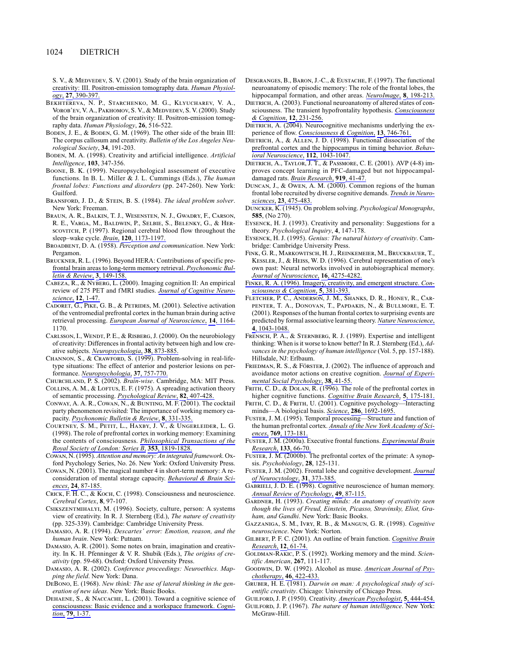S. V., & MEDVEDEV, S. V. (2001). Study of the brain organization of creativity: III. Positron-emission tomography data. *Human Physiol* $ogy$ , 27, 390-397.

- BEKHTEREVA, N. P., STARCHENKO, M. G., KLYUCHAREV, V. A., VOROB'EV, V. A., PAKHOMOV, S. V., & MEDVEDEV, S. V. (2000). Study of the brain organization of creativity: II. Positron-emission tomography data. Human Physiology, 26, 516-522.
- BODEN, J. E., & BODEN, G. M. (1969). The other side of the brain III: The corpus callosum and creativity. *Bulletin of the Los Angeles Neu*rological Society, 34, 191-203.
- BODEN, M. A. (1998). Creativity and artificial intelligence. Artificial Intelligence, 103, 347-356.
- BOONE, B. K. (1999). Neuropsychological assessment of executive functions. In B. L. Miller & J. L. Cummings (Eds.), The human *frontal lobes: Functions and disorders* (pp. 247-260). New York: Guilford.
- BRANSFORD, J. D., & STEIN, B. S. (1984). The ideal problem solver. New York: Freeman.
- BRAUN, A. R., BALKIN, T. J., WESENSTEN, N. J., GWADRY, F., CARSON, R. E., VARGA, M., BALDWIN, P., SELBIE, S., BELENKY, G., & HERscovitch, P. (1997). Regional cerebral blood flow throughout the sleep-wake cycle. *Brain*, **120**, 1173-1197.
- BROADBENT, D. A. (1958). Perception and communication. New York: Pergamon.
- BRUCKNER, R. L. (1996). Beyond HERA: Contributions of specific prefrontal brain areas to long-term memory retrieval. *Psychonomic Bul-*<u>letin & Review, 3, 149-158.</u>
- CABEZA, R., & NYBERG, L. (2000). Imaging cognition II: An empirical review of 275 PET and fMRI studies. Journal of Cognitive Neuroscience, **12**, 1-47.
- CADORET, G., PIKE, G. B., & PETRIDES, M. (2001). Selective activation of the ventromedial prefrontal cortex in the human brain during active retrieval processing. *European Journal of Neuroscience*, 14, 1164-1170.
- CARLSSON, I., WENDT, P. E., & RISBERG, J. (2000). On the neurobiology of creativity: Differences in frontal activity between high and low creative subjects. Neuropsychologia, 38, 873-885.
- CHANNON, S., & CRAWFORD, S. (1999). Problem-solving in real-lifetype situations: The effect of anterior and posterior lesions on performance. *Neuropsychologia*, 37, 757-770.
- CHURCHLAND, P. S. (2002). Brain-wise. Cambridge, MA: MIT Press.
- COLLINS, A. M., & LOFTUS, E. F. (1975). A spreading activation theory of semantic processing. Psychological Review, 82, 407-428.
- CONWAY, A. A. R., COWAN, N., & BUNTING, M. F.  $(2001)$ . The cocktail party phenomenon revisited: The importance of working memory capacity. *Psychonomic Bulletin & Review*, **8**, 331-335.
- COURTNEY, S. M., PETIT, L., HAXBY, J. V., & UNGERLEIDER, L. G. (1998). The role of prefrontal cortex in working memory: Examining the contents of consciousness. Philosophical Transactions of the Royal Society of London: Series B, 353, 1819-1828.
- COWAN, N. (1995). Attention and memory: An integrated framework. Oxford Psychology Series, No. 26. New York: Oxford University Press.
- COWAN, N. (2001). The magical number 4 in short-term memory: A reconsideration of mental storage capacity. Behavioral & Brain Sciences, 24, 87-185.
- CRICK, F. H. C., & Косн, C. (1998). Consciousness and neuroscience. Cerebral Cortex, 8, 97-107.
- CSIKSZENTMIHALYI, M. (1996). Society, culture, person: A systems view of creativity. In R. J. Sternberg (Ed.), The nature of creativity (pp. 325-339). Cambridge: Cambridge University Press.
- DAMASIO, A. R. (1994). Descartes' error: Emotion, reason, and the *human brain*. New York: Putnam.
- DAMASIO, A. R. (2001). Some notes on brain, imagination and creativity. In K. H. Pfenninger & V. R. Shubik (Eds.), The origins of creativity (pp. 59-68). Oxford: Oxford University Press.
- DAMASIO, A. R. (2002). Conference proceedings: Neuroethics. Mapping the field. New York: Dana.
- DEBONO, E. (1968). New think: The use of lateral thinking in the generation of new ideas. New York: Basic Books.
- DEHAENE, S., & NACCACHE, L. (2001). Toward a cognitive science of consciousness: Basic evidence and a workspace framework. Cognition, 79, 1-37.
- DESGRANGES, B., BARON, J.-C., & EUSTACHE, F. (1997). The functional neuroanatomy of episodic memory: The role of the frontal lobes, the hippocampal formation, and other areas. *NeuroImage*, 8, 198-213.
- DIETRICH, A. (2003). Functional neuroanatomy of altered states of consciousness. The transient hypofrontality hypothesis. Consciousness & Cognition, 12, 231-256.
- DIETRICH, A. (2004). Neurocognitive mechanisms underlying the experience of flow. Consciousness & Cognition, 13, 746-761.
- DIETRICH, A., & ALLEN, J. D. (1998). Functional dissociation of the prefrontal cortex and the hippocampus in timing behavior. Behavioral Neuroscience, 112, 1043-1047.
- DIETRICH, A., TAYLOR, J. T., & PASSMORE, C. E. (2001). AVP (4-8) improves concept learning in PFC-damaged but not hippocampaldamaged rats. Brain Research, 919, 41-47.
- DUNCAN, J., & OWEN, A. M. (2000). Common regions of the human frontal lobe recruited by diverse cognitive demands. Trends in Neurosciences, 23, 475-483.
- DUNCKER, K. (1945). On problem solving. Psychological Monographs, 585, (No 270).
- EYSENCK, H. J. (1993). Creativity and personality: Suggestions for a theory. *Psychological Inquiry*, 4, 147-178.
- EYSENCK, H. J. (1995). *Genius: The natural history of creativity*. Cambridge: Cambridge University Press.
- FINK, G. R., MARKOWITSCH, H. J., REINKEMEIER, M., BRUCKBAUER, T., KESSLER, J., & HEISS, W. D. (1996). Cerebral representation of one's own past: Neural networks involved in autobiographical memory. Journal of Neuroscience, 16, 4275-4282.
- FINKE, R. A. (1996). Imagery, creativity, and emergent structure. Consciousness & Cognition, 5, 381-393.
- FLETCHER, P. C., ANDERSON, J. M., SHANKS, D. R., HONEY, R., CAR-PENTER, T. A., DONOVAN, T., PAPDAKIS, N., & BULLMORE, E. T. (2001). Responses of the human frontal cortex to surprising events are predicted by formal associative learning theory. Nature Neuroscience, 4, 1043-1048.
- FRENSCH, P. A., & STERNBERG, R. J. (1989). Expertise and intelligent thinking: When is it worse to know better? In R. J. Sternberg (Ed.),  $Ad$ vances in the psychology of human intelligence (Vol. 5, pp. 157-188). Hillsdale, NJ: Erlbaum.
- FRIEDMAN, R. S., & FÖRSTER, J. (2002). The influence of approach and avoidance motor actions on creative cognition. Journal of Experimental Social Psychology, 38, 41-55.
- FRITH, C. D., & DOLAN, R.  $(1996)$ . The role of the prefrontal cortex in higher cognitive functions. Cognitive Brain Research, 5, 175-181.
- FRITH, C. D., & FRITH, U. (2001). Cognitive psychology-Interacting minds—A biological basis. Science, 286, 1692-1695.
- FUSTER, J. M. (1995). Temporal processing—Structure and function of the human prefrontal cortex. Annals of the New York Academy of Sciences, 769, 173-181.
- FUSTER, J. M. (2000a). Executive frontal functions. Experimental Brain Research, 133, 66-70.
- FUSTER, J. M.  $(2000b)$ . The prefrontal cortex of the primate: A synopsis. Psychobiology, 28, 125-131.
- FUSTER, J. M. (2002). Frontal lobe and cognitive development. Journal of Neurocytology, 31, 373-385.
- GABRIELI, J. D. E. (1998). Cognitive neuroscience of human memory. Annual Review of Psychology, 49, 87-115.
- GARDNER, H. (1993). Creating minds: An anatomy of creativity seen though the lives of Freud, Einstein, Picasso, Stravinsky, Eliot, Graham, and Gandhi. New York: Basic Books.
- GAZZANIGA, S. M., IVRY, R. B., & MANGUN, G. R. (1998). Cognitive neuroscience. New York: Norton.
- GILBERT, P. F. C. (2001). An outline of brain function. Cognitive Brain Research, 12, 61-74.
- GOLDMAN-RAKIC, P. S. (1992). Working memory and the mind. Scien*tific American*, 267, 111-117.
- GOODWIN, D. W. (1992). Alcohol as muse. *American Journal of Psychotherapy*, 46, 422-433.
- GRUBER, H. E. (1981). Darwin on man: A psychological study of sci*entific creativity.* Chicago: University of Chicago Press.
- GUILFORD, J. P. (1950). Creativity. *American Psychologist*, 5, 444-454.
- GUILFORD, J. P. (1967). The nature of human intelligence. New York: McGraw-Hill.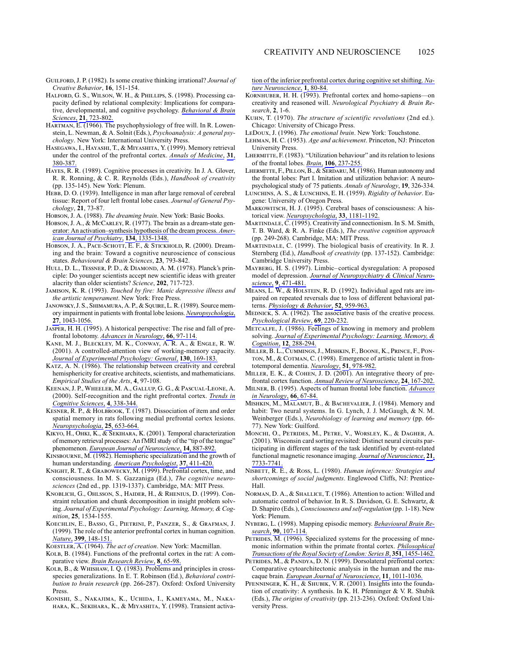GUILFORD, J. P. (1982). Is some creative thinking irrational? Journal of Creative Behavior, 16, 151-154.

- HALFORD, G. S., WILSON, W. H., & PHILLIPS, S. (1998). Processing capacity defined by relational complexity: Implications for comparative, developmental, and cognitive psychology. Behavioral & Brain Sciences, 21, 723-802.
- HARTMAN, E. (1966). The psychophysiology of free will. In R. Lowenstein, L. Newman, & A. Solnit (Eds.), Psychoanalysis: A general psychology. New York: International University Press.
- HASEGAWA, I., HAYASHI, T., & MIYASHITA, Y. (1999). Memory retrieval under the control of the prefrontal cortex. Annals of Medicine, 31, 380-387.
- HAYES, R. R. (1989). Cognitive processes in creativity. In J. A. Glover, R. R. Ronning, & C. R. Reynolds (Eds.), Handbook of creativity (pp. 135-145). New York: Plenum.
- HEBB, D. O. (1939). Intelligence in man after large removal of cerebral tissue: Report of four left frontal lobe cases. Journal of General Psy*chology*, 21, 73-87.
- HOBSON, J. A. (1988). The dreaming brain. New York: Basic Books.
- HOBSON, J. A., & McCARLEY, R. (1977). The brain as a dream-state generator: An activation-synthesis hypothesis of the dream process. American Journal of Psychiatry, 134, 1335-1348.
- HOBSON, J. A., РАСЕ-SCHOTT, E. F., & STICKHOLD, R. (2000). Dreaming and the brain: Toward a cognitive neuroscience of conscious states. Behavioural & Brain Sciences, 23, 793-842.
- HULL, D. L., TESSNER, P. D., & DIAMOND, A. M. (1978). Planck's principle: Do younger scientists accept new scientific ideas with greater alacrity than older scientists? Science, 202, 717-723.
- JAMISON, K. R. (1993). Touched by fire: Manic depressive illness and *the artistic temperament*. New York: Free Press.
- JANOWSKY, J. S., SHIMAMURA, A. P., & SQUIRE, L. R. (1989). Source memory impairment in patients with frontal lobe lesions. Neuropsychologia, 27, 1043-1056.
- JASPER, H. H. (1995). A historical perspective: The rise and fall of prefrontal lobotomy. Advances in Neurology, 66, 97-114.
- KANE, M. J., BLECKLEY, M. K., CONWAY, A. R. A., & ENGLE, R. W. (2001). A controlled-attention view of working-memory capacity. Journal of Experimental Psychology: General, 130, 169-183.
- KATZ, A. N. (1986). The relationship between creativity and cerebral hemisphericity for creative architects, scientists, and mathematicians. Empirical Studies of the Arts, 4, 97-108.
- KEENAN, J. P., WHEELER, M. A., GALLUP, G. G., & PASCUAL-LEONE, A. (2000). Self-recognition and the right prefrontal cortex. *Trends in* Cognitive Sciences, 4, 338-344.
- KESNER, R. P., & HOLBROOK, T. (1987). Dissociation of item and order spatial memory in rats following medial prefrontal cortex lesions. <u>Neuropsychologia,</u> **25**, 653-664.
- Кікүо, Н., Онкі, К., & Sекінаra, К. (2001). Temporal characterization of memory retrieval processes: An fMRI study of the "tip of the tongue" phenomenon. *European Journal of Neuroscience*, 14, 887-892.
- KINSBOURNE, M. (1982). Hemispheric specialization and the growth of human understanding. American Psychologist, 37, 411-420.
- KNIGHT, R. T., & GRABOWECKY, M. (1999). Prefrontal cortex, time, and consciousness. In M. S. Gazzaniga (Ed.), The cognitive neurosciences (2nd ed., pp. 1319-1337). Cambridge, MA: MIT Press.
- KNOBLICH, G., OHLSSON, S., HAIDER, H., & RHENIUS, D. (1999). Constraint relaxation and chunk decomposition in insight problem solving. Journal of Experimental Psychology: Learning, Memory, & Cognition, 25, 1534-1555.
- KOECHLIN, E., BASSO, G., PIETRINI, P., PANZER, S., & GRAFMAN, J. (1999). The role of the anterior prefrontal cortex in human cognition. <u>Nature,</u> **399**, 148-151.
- KOESTLER, A. (1964). The act of creation. New York: Macmillan.
- KOLB, B. (1984). Functions of the prefrontal cortex in the rat: A comparative view. *Brain Research Review*, 8, 65-98.
- Колв, В., & WHISHAW, I. Q. (1983). Problems and principles in crossspecies generalizations. In E. T. Robinson (Ed.), Behavioral contribution to brain research (pp. 266-287). Oxford: Oxford University Press.
- KONISHI, S., NAKAJIMA, K., UCHIDA, I., KAMEYAMA, M., NAKA-HARA, K., SEKIHARA, K., & MIYASHITA, Y. (1998). Transient activa-

tion of the inferior prefrontal cortex during cognitive set shifting. Nature Neuroscience, 1, 80-84.

- KORNHUBER, H. H. (1993). Prefrontal cortex and homo-sapiens-on creativity and reasoned will. Neurological Psychiatry & Brain Re*search*, 2, 1-6.
- KUHN, T. (1970). The structure of scientific revolutions (2nd ed.). Chicago: University of Chicago Press.
- LEDOUX, J. (1996). The emotional brain. New York: Touchstone.
- LEHMAN, H. C. (1953). Age and achievement. Princeton, NJ: Princeton University Press.
- LHERMITTE, F. (1983). "Utilization behaviour" and its relation to lesions of the frontal lobes. Brain, 106, 237-255.
- LHERMITTE, F., PILLON, B., & SERDARU, M. (1986). Human autonomy and the frontal lobes: Part I. Imitation and utilization behavior: A neuropsychological study of 75 patients. Annals of Neurology, 19, 326-334.
- LUNCHINS, A. S., & LUNCHINS, E. H. (1959). Rigidity of behavior. Eugene: University of Oregon Press.
- MARKOWITSCH, H. J. (1995). Cerebral bases of consciousness: A historical view. Neuropsychologia, 33, 1181-1192.
- MARTINDALE, C. (1995). Creativity and connectionism. In S. M. Smith, T. B. Ward, & R. A. Finke (Eds.), The creative cognition approach (pp. 249-268). Cambridge, MA: MIT Press.
- MARTINDALE, C. (1999). The biological basis of creativity. In R. J. Sternberg (Ed.), Handbook of creativity (pp. 137-152). Cambridge: Cambridge University Press.
- MAYBERG, H. S. (1997). Limbic–cortical dysregulation: A proposed model of depression. Journal of Neuropsychiatry & Clinical Neuroscience, 9, 471-481.
- MEANS, L. W., & HOLSTEIN, R. D. (1992). Individual aged rats are impaired on repeated reversals due to loss of different behavioral patterns. Physiology & Behavior, 52, 959-963.
- MEDNICK, S. A. (1962). The associative basis of the creative process. Psychological Review, 69, 220-232.
- METCALFE, J. (1986). Feelings of knowing in memory and problem solving. Journal of Experimental Psychology: Learning, Memory, & Cognition, 12, 288-294.
- MILLER, B. L., CUMMINGS, J., MISHKIN, F., BOONE, K., PRINCE, F., PONтом, М., & Сотмам, С. (1998). Emergence of artistic talent in frontotemporal dementia. Neurology, 51, 978-982.
- MILLER, E. K., & COHEN, J. D.  $(20\overline{01})$ . An integrative theory of prefrontal cortex function. Annual Review of Neuroscience, 24, 167-202.
- MILNER, B. (1995). Aspects of human frontal lobe function. *Advances* in Neurology, 66, 67-84.
- MISHKIN, M., MALAMUT, B., & BACHEVALIER, J. (1984). Memory and habit: Two neural systems. In G. Lynch, J. J. McGaugh, & N. M. Weinberger (Eds.), Neurobiology of learning and memory (pp. 66-77). New York: Guilford.
- MONCHI, O., PETRIDES, M., PETRE, V., WORSLEY, K., & DAGHER, A. (2001). Wisconsin card sorting revisited: Distinct neural circuits participating in different stages of the task identified by event-related functional magnetic resonance imaging. Journal of Neuroscience, 21, 7733-7741.
- NISBETT, R. E., & Ross, L. (1980). Human inference: Strategies and shortcomings of social judgments. Englewood Cliffs, NJ: Prentice-Hall.
- NORMAN, D. A., & SHALLICE, T. (1986). Attention to action: Willed and automatic control of behavior. In R. S. Davidson, G. E. Schwartz, & D. Shapiro (Eds.), Consciousness and self-regulation (pp. 1-18). New York: Plenum.
- NYBERG, L. (1998). Mapping episodic memory. Behavioural Brain Research, 90, 107-114.
- PETRIDES, M. (1996). Specialized systems for the processing of mnemonic information within the primate frontal cortex. *Philosophical* Transactions of the Royal Society of London: Series B, 351, 1455-1462.
- PETRIDES, M., & PANDYA, D. N. (1999). Dorsolateral prefrontal cortex: Comparative cytoarchitectonic analysis in the human and the macaque brain. *European Journal of Neuroscience*, 11, 1011-1036.
- PFENNINGER, K. H., & SHUBIK, V. R. (2001). Insights into the foundation of creativity: A synthesis. In K. H. Pfenninger & V. R. Shubik (Eds.), *The origins of creativity* (pp. 213-236). Oxford: Oxford University Press.